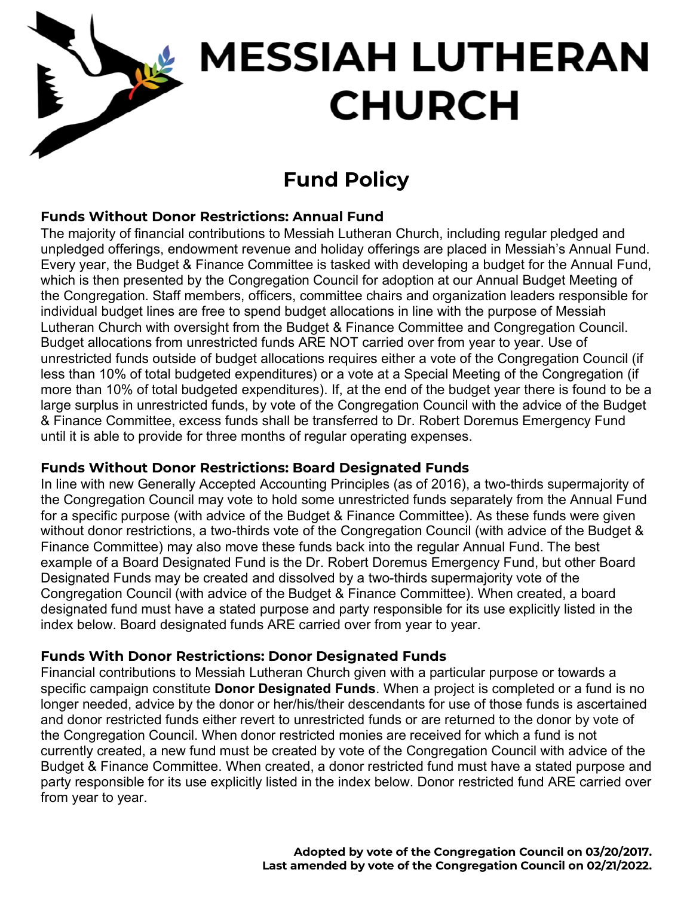# **MESSIAH LUTHERAN CHURCH**

# **Fund Policy**

## **Funds Without Donor Restrictions: Annual Fund**

The majority of financial contributions to Messiah Lutheran Church, including regular pledged and unpledged offerings, endowment revenue and holiday offerings are placed in Messiah's Annual Fund. Every year, the Budget & Finance Committee is tasked with developing a budget for the Annual Fund, which is then presented by the Congregation Council for adoption at our Annual Budget Meeting of the Congregation. Staff members, officers, committee chairs and organization leaders responsible for individual budget lines are free to spend budget allocations in line with the purpose of Messiah Lutheran Church with oversight from the Budget & Finance Committee and Congregation Council. Budget allocations from unrestricted funds ARE NOT carried over from year to year. Use of unrestricted funds outside of budget allocations requires either a vote of the Congregation Council (if less than 10% of total budgeted expenditures) or a vote at a Special Meeting of the Congregation (if more than 10% of total budgeted expenditures). If, at the end of the budget year there is found to be a large surplus in unrestricted funds, by vote of the Congregation Council with the advice of the Budget & Finance Committee, excess funds shall be transferred to Dr. Robert Doremus Emergency Fund until it is able to provide for three months of regular operating expenses.

### **Funds Without Donor Restrictions: Board Designated Funds**

In line with new Generally Accepted Accounting Principles (as of 2016), a two-thirds supermajority of the Congregation Council may vote to hold some unrestricted funds separately from the Annual Fund for a specific purpose (with advice of the Budget & Finance Committee). As these funds were given without donor restrictions, a two-thirds vote of the Congregation Council (with advice of the Budget & Finance Committee) may also move these funds back into the regular Annual Fund. The best example of a Board Designated Fund is the Dr. Robert Doremus Emergency Fund, but other Board Designated Funds may be created and dissolved by a two-thirds supermajority vote of the Congregation Council (with advice of the Budget & Finance Committee). When created, a board designated fund must have a stated purpose and party responsible for its use explicitly listed in the index below. Board designated funds ARE carried over from year to year.

### **Funds With Donor Restrictions: Donor Designated Funds**

Financial contributions to Messiah Lutheran Church given with a particular purpose or towards a specific campaign constitute **Donor Designated Funds**. When a project is completed or a fund is no longer needed, advice by the donor or her/his/their descendants for use of those funds is ascertained and donor restricted funds either revert to unrestricted funds or are returned to the donor by vote of the Congregation Council. When donor restricted monies are received for which a fund is not currently created, a new fund must be created by vote of the Congregation Council with advice of the Budget & Finance Committee. When created, a donor restricted fund must have a stated purpose and party responsible for its use explicitly listed in the index below. Donor restricted fund ARE carried over from year to year.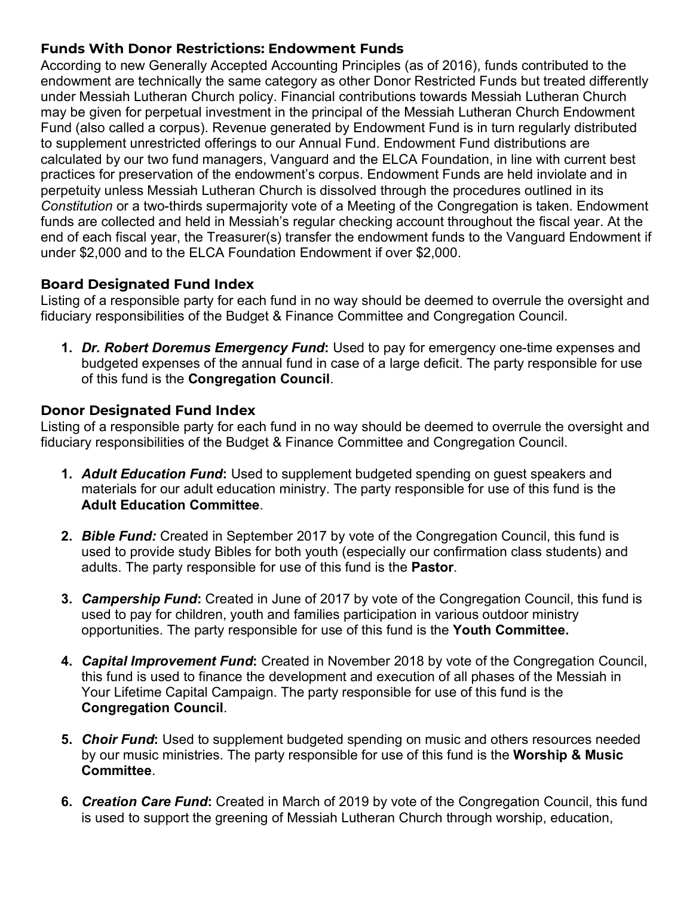#### **Funds With Donor Restrictions: Endowment Funds**

According to new Generally Accepted Accounting Principles (as of 2016), funds contributed to the endowment are technically the same category as other Donor Restricted Funds but treated differently under Messiah Lutheran Church policy. Financial contributions towards Messiah Lutheran Church may be given for perpetual investment in the principal of the Messiah Lutheran Church Endowment Fund (also called a corpus). Revenue generated by Endowment Fund is in turn regularly distributed to supplement unrestricted offerings to our Annual Fund. Endowment Fund distributions are calculated by our two fund managers, Vanguard and the ELCA Foundation, in line with current best practices for preservation of the endowment's corpus. Endowment Funds are held inviolate and in perpetuity unless Messiah Lutheran Church is dissolved through the procedures outlined in its *Constitution* or a two-thirds supermajority vote of a Meeting of the Congregation is taken. Endowment funds are collected and held in Messiah's regular checking account throughout the fiscal year. At the end of each fiscal year, the Treasurer(s) transfer the endowment funds to the Vanguard Endowment if under \$2,000 and to the ELCA Foundation Endowment if over \$2,000.

#### **Board Designated Fund Index**

Listing of a responsible party for each fund in no way should be deemed to overrule the oversight and fiduciary responsibilities of the Budget & Finance Committee and Congregation Council.

**1.** *Dr. Robert Doremus Emergency Fund***:** Used to pay for emergency one-time expenses and budgeted expenses of the annual fund in case of a large deficit. The party responsible for use of this fund is the **Congregation Council**.

#### **Donor Designated Fund Index**

Listing of a responsible party for each fund in no way should be deemed to overrule the oversight and fiduciary responsibilities of the Budget & Finance Committee and Congregation Council.

- **1.** *Adult Education Fund***:** Used to supplement budgeted spending on guest speakers and materials for our adult education ministry. The party responsible for use of this fund is the **Adult Education Committee**.
- **2.** *Bible Fund:* Created in September 2017 by vote of the Congregation Council, this fund is used to provide study Bibles for both youth (especially our confirmation class students) and adults. The party responsible for use of this fund is the **Pastor**.
- **3.** *Campership Fund***:** Created in June of 2017 by vote of the Congregation Council, this fund is used to pay for children, youth and families participation in various outdoor ministry opportunities. The party responsible for use of this fund is the **Youth Committee.**
- **4.** *Capital Improvement Fund***:** Created in November 2018 by vote of the Congregation Council, this fund is used to finance the development and execution of all phases of the Messiah in Your Lifetime Capital Campaign. The party responsible for use of this fund is the **Congregation Council**.
- **5.** *Choir Fund***:** Used to supplement budgeted spending on music and others resources needed by our music ministries. The party responsible for use of this fund is the **Worship & Music Committee**.
- **6.** *Creation Care Fund***:** Created in March of 2019 by vote of the Congregation Council, this fund is used to support the greening of Messiah Lutheran Church through worship, education,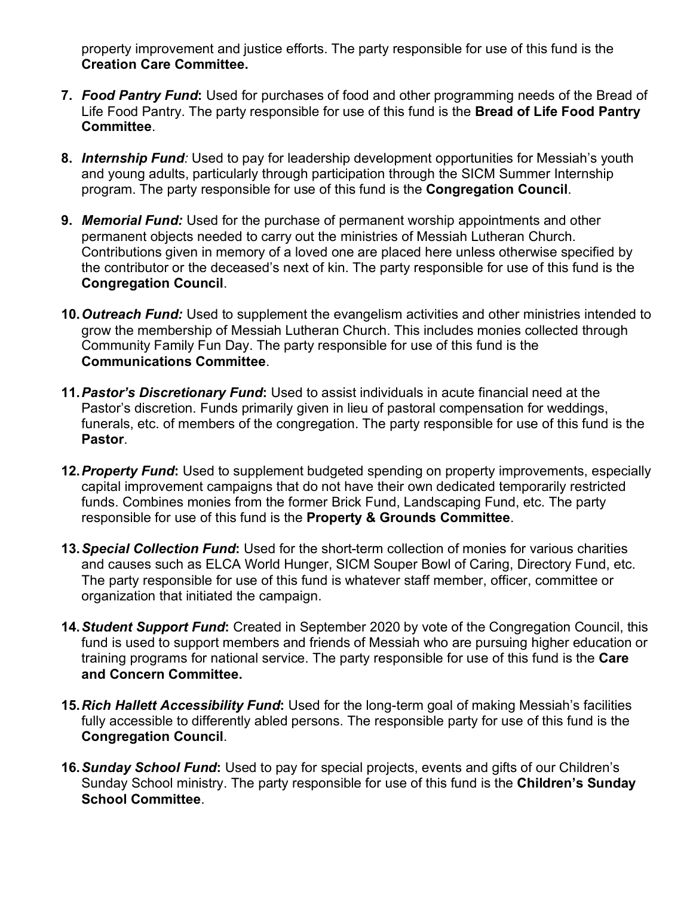property improvement and justice efforts. The party responsible for use of this fund is the **Creation Care Committee.**

- **7.** *Food Pantry Fund***:** Used for purchases of food and other programming needs of the Bread of Life Food Pantry. The party responsible for use of this fund is the **Bread of Life Food Pantry Committee**.
- **8.** *Internship Fund:* Used to pay for leadership development opportunities for Messiah's youth and young adults, particularly through participation through the SICM Summer Internship program. The party responsible for use of this fund is the **Congregation Council**.
- **9.** *Memorial Fund:* Used for the purchase of permanent worship appointments and other permanent objects needed to carry out the ministries of Messiah Lutheran Church. Contributions given in memory of a loved one are placed here unless otherwise specified by the contributor or the deceased's next of kin. The party responsible for use of this fund is the **Congregation Council**.
- **10.***Outreach Fund:* Used to supplement the evangelism activities and other ministries intended to grow the membership of Messiah Lutheran Church. This includes monies collected through Community Family Fun Day. The party responsible for use of this fund is the **Communications Committee**.
- **11.***Pastor's Discretionary Fund***:** Used to assist individuals in acute financial need at the Pastor's discretion. Funds primarily given in lieu of pastoral compensation for weddings, funerals, etc. of members of the congregation. The party responsible for use of this fund is the **Pastor**.
- **12.***Property Fund***:** Used to supplement budgeted spending on property improvements, especially capital improvement campaigns that do not have their own dedicated temporarily restricted funds. Combines monies from the former Brick Fund, Landscaping Fund, etc. The party responsible for use of this fund is the **Property & Grounds Committee**.
- **13.***Special Collection Fund***:** Used for the short-term collection of monies for various charities and causes such as ELCA World Hunger, SICM Souper Bowl of Caring, Directory Fund, etc. The party responsible for use of this fund is whatever staff member, officer, committee or organization that initiated the campaign.
- **14.***Student Support Fund***:** Created in September 2020 by vote of the Congregation Council, this fund is used to support members and friends of Messiah who are pursuing higher education or training programs for national service. The party responsible for use of this fund is the **Care and Concern Committee.**
- **15.***Rich Hallett Accessibility Fund***:** Used for the long-term goal of making Messiah's facilities fully accessible to differently abled persons. The responsible party for use of this fund is the **Congregation Council**.
- **16.***Sunday School Fund***:** Used to pay for special projects, events and gifts of our Children's Sunday School ministry. The party responsible for use of this fund is the **Children's Sunday School Committee**.